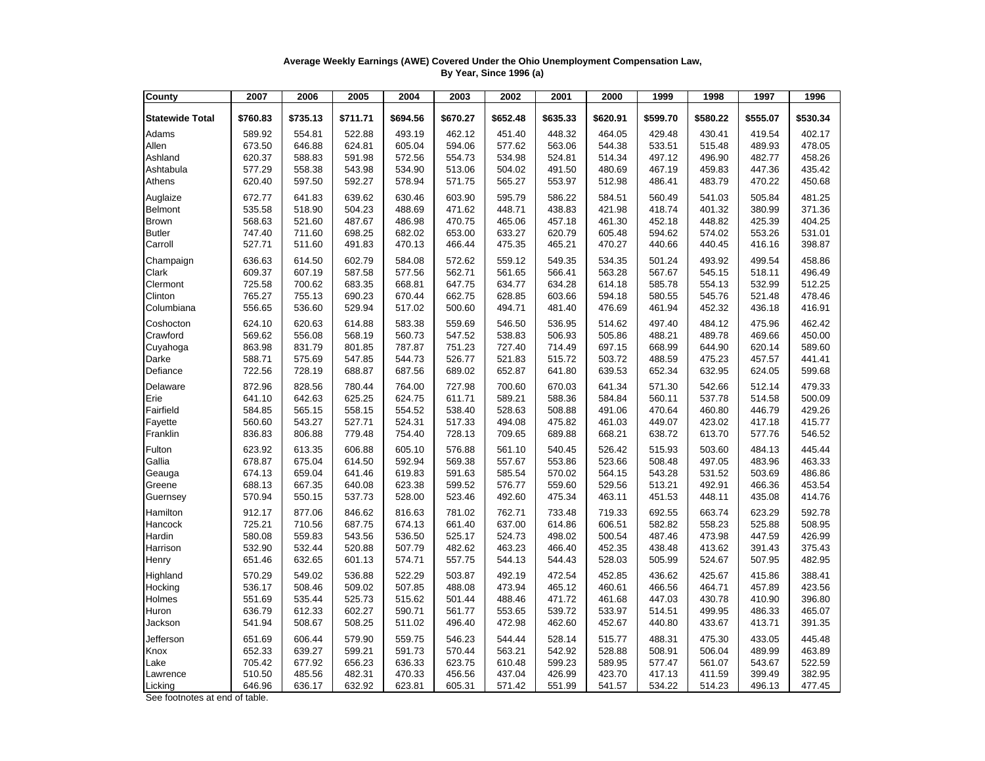## **Average Weekly Earnings (AWE) Covered Under the Ohio Unemployment Compensation Law, By Year, Since 1996 (a)**

| County                 | 2007     | 2006     | 2005     | 2004     | 2003     | 2002     | 2001     | 2000     | 1999     | 1998     | 1997     | 1996     |
|------------------------|----------|----------|----------|----------|----------|----------|----------|----------|----------|----------|----------|----------|
| <b>Statewide Total</b> | \$760.83 | \$735.13 | \$711.71 | \$694.56 | \$670.27 | \$652.48 | \$635.33 | \$620.91 | \$599.70 | \$580.22 | \$555.07 | \$530.34 |
| Adams                  | 589.92   | 554.81   | 522.88   | 493.19   | 462.12   | 451.40   | 448.32   | 464.05   | 429.48   | 430.41   | 419.54   | 402.17   |
| Allen                  | 673.50   | 646.88   | 624.81   | 605.04   | 594.06   | 577.62   | 563.06   | 544.38   | 533.51   | 515.48   | 489.93   | 478.05   |
| Ashland                | 620.37   | 588.83   | 591.98   | 572.56   | 554.73   | 534.98   | 524.81   | 514.34   | 497.12   | 496.90   | 482.77   | 458.26   |
| Ashtabula              | 577.29   | 558.38   | 543.98   | 534.90   | 513.06   | 504.02   | 491.50   | 480.69   | 467.19   | 459.83   | 447.36   | 435.42   |
| Athens                 | 620.40   | 597.50   | 592.27   | 578.94   | 571.75   | 565.27   | 553.97   | 512.98   | 486.41   | 483.79   | 470.22   | 450.68   |
| Auglaize               | 672.77   | 641.83   | 639.62   | 630.46   | 603.90   | 595.79   | 586.22   | 584.51   | 560.49   | 541.03   | 505.84   | 481.25   |
| Belmont                | 535.58   | 518.90   | 504.23   | 488.69   | 471.62   | 448.71   | 438.83   | 421.98   | 418.74   | 401.32   | 380.99   | 371.36   |
| <b>Brown</b>           | 568.63   | 521.60   | 487.67   | 486.98   | 470.75   | 465.06   | 457.18   | 461.30   | 452.18   | 448.82   | 425.39   | 404.25   |
| <b>Butler</b>          | 747.40   | 711.60   | 698.25   | 682.02   | 653.00   | 633.27   | 620.79   | 605.48   | 594.62   | 574.02   | 553.26   | 531.01   |
| Carroll                | 527.71   | 511.60   | 491.83   | 470.13   | 466.44   | 475.35   | 465.21   | 470.27   | 440.66   | 440.45   | 416.16   | 398.87   |
| Champaign              | 636.63   | 614.50   | 602.79   | 584.08   | 572.62   | 559.12   | 549.35   | 534.35   | 501.24   | 493.92   | 499.54   | 458.86   |
| Clark                  | 609.37   | 607.19   | 587.58   | 577.56   | 562.71   | 561.65   | 566.41   | 563.28   | 567.67   | 545.15   | 518.11   | 496.49   |
| Clermont               | 725.58   | 700.62   | 683.35   | 668.81   | 647.75   | 634.77   | 634.28   | 614.18   | 585.78   | 554.13   | 532.99   | 512.25   |
| Clinton                | 765.27   | 755.13   | 690.23   | 670.44   | 662.75   | 628.85   | 603.66   | 594.18   | 580.55   | 545.76   | 521.48   | 478.46   |
| Columbiana             | 556.65   | 536.60   | 529.94   | 517.02   | 500.60   | 494.71   | 481.40   | 476.69   | 461.94   | 452.32   | 436.18   | 416.91   |
| Coshocton              | 624.10   | 620.63   | 614.88   | 583.38   | 559.69   | 546.50   | 536.95   | 514.62   | 497.40   | 484.12   | 475.96   | 462.42   |
| Crawford               | 569.62   | 556.08   | 568.19   | 560.73   | 547.52   | 538.83   | 506.93   | 505.86   | 488.21   | 489.78   | 469.66   | 450.00   |
| Cuyahoga               | 863.98   | 831.79   | 801.85   | 787.87   | 751.23   | 727.40   | 714.49   | 697.15   | 668.99   | 644.90   | 620.14   | 589.60   |
| Darke                  | 588.71   | 575.69   | 547.85   | 544.73   | 526.77   | 521.83   | 515.72   | 503.72   | 488.59   | 475.23   | 457.57   | 441.41   |
| Defiance               | 722.56   | 728.19   | 688.87   | 687.56   | 689.02   | 652.87   | 641.80   | 639.53   | 652.34   | 632.95   | 624.05   | 599.68   |
| Delaware               | 872.96   | 828.56   | 780.44   | 764.00   | 727.98   | 700.60   | 670.03   | 641.34   | 571.30   | 542.66   | 512.14   | 479.33   |
| Erie                   | 641.10   | 642.63   | 625.25   | 624.75   | 611.71   | 589.21   | 588.36   | 584.84   | 560.11   | 537.78   | 514.58   | 500.09   |
| Fairfield              | 584.85   | 565.15   | 558.15   | 554.52   | 538.40   | 528.63   | 508.88   | 491.06   | 470.64   | 460.80   | 446.79   | 429.26   |
| Fayette                | 560.60   | 543.27   | 527.71   | 524.31   | 517.33   | 494.08   | 475.82   | 461.03   | 449.07   | 423.02   | 417.18   | 415.77   |
| Franklin               | 836.83   | 806.88   | 779.48   | 754.40   | 728.13   | 709.65   | 689.88   | 668.21   | 638.72   | 613.70   | 577.76   | 546.52   |
| Fulton                 | 623.92   | 613.35   | 606.88   | 605.10   | 576.88   | 561.10   | 540.45   | 526.42   | 515.93   | 503.60   | 484.13   | 445.44   |
| Gallia                 | 678.87   | 675.04   | 614.50   | 592.94   | 569.38   | 557.67   | 553.86   | 523.66   | 508.48   | 497.05   | 483.96   | 463.33   |
| Geauga                 | 674.13   | 659.04   | 641.46   | 619.83   | 591.63   | 585.54   | 570.02   | 564.15   | 543.28   | 531.52   | 503.69   | 486.86   |
| Greene                 | 688.13   | 667.35   | 640.08   | 623.38   | 599.52   | 576.77   | 559.60   | 529.56   | 513.21   | 492.91   | 466.36   | 453.54   |
| Guernsey               | 570.94   | 550.15   | 537.73   | 528.00   | 523.46   | 492.60   | 475.34   | 463.11   | 451.53   | 448.11   | 435.08   | 414.76   |
| Hamilton               | 912.17   | 877.06   | 846.62   | 816.63   | 781.02   | 762.71   | 733.48   | 719.33   | 692.55   | 663.74   | 623.29   | 592.78   |
| Hancock                | 725.21   | 710.56   | 687.75   | 674.13   | 661.40   | 637.00   | 614.86   | 606.51   | 582.82   | 558.23   | 525.88   | 508.95   |
| Hardin                 | 580.08   | 559.83   | 543.56   | 536.50   | 525.17   | 524.73   | 498.02   | 500.54   | 487.46   | 473.98   | 447.59   | 426.99   |
| Harrison               | 532.90   | 532.44   | 520.88   | 507.79   | 482.62   | 463.23   | 466.40   | 452.35   | 438.48   | 413.62   | 391.43   | 375.43   |
| Henry                  | 651.46   | 632.65   | 601.13   | 574.71   | 557.75   | 544.13   | 544.43   | 528.03   | 505.99   | 524.67   | 507.95   | 482.95   |
| Highland               | 570.29   | 549.02   | 536.88   | 522.29   | 503.87   | 492.19   | 472.54   | 452.85   | 436.62   | 425.67   | 415.86   | 388.41   |
| Hocking                | 536.17   | 508.46   | 509.02   | 507.85   | 488.08   | 473.94   | 465.12   | 460.61   | 466.56   | 464.71   | 457.89   | 423.56   |
| Holmes                 | 551.69   | 535.44   | 525.73   | 515.62   | 501.44   | 488.46   | 471.72   | 461.68   | 447.03   | 430.78   | 410.90   | 396.80   |
| Huron                  | 636.79   | 612.33   | 602.27   | 590.71   | 561.77   | 553.65   | 539.72   | 533.97   | 514.51   | 499.95   | 486.33   | 465.07   |
| Jackson                | 541.94   | 508.67   | 508.25   | 511.02   | 496.40   | 472.98   | 462.60   | 452.67   | 440.80   | 433.67   | 413.71   | 391.35   |
| Jefferson              | 651.69   | 606.44   | 579.90   | 559.75   | 546.23   | 544.44   | 528.14   | 515.77   | 488.31   | 475.30   | 433.05   | 445.48   |
| Knox                   | 652.33   | 639.27   | 599.21   | 591.73   | 570.44   | 563.21   | 542.92   | 528.88   | 508.91   | 506.04   | 489.99   | 463.89   |
| Lake                   | 705.42   | 677.92   | 656.23   | 636.33   | 623.75   | 610.48   | 599.23   | 589.95   | 577.47   | 561.07   | 543.67   | 522.59   |
| Lawrence               | 510.50   | 485.56   | 482.31   | 470.33   | 456.56   | 437.04   | 426.99   | 423.70   | 417.13   | 411.59   | 399.49   | 382.95   |
| Licking                | 646.96   | 636.17   | 632.92   | 623.81   | 605.31   | 571.42   | 551.99   | 541.57   | 534.22   | 514.23   | 496.13   | 477.45   |

See footnotes at end of table.